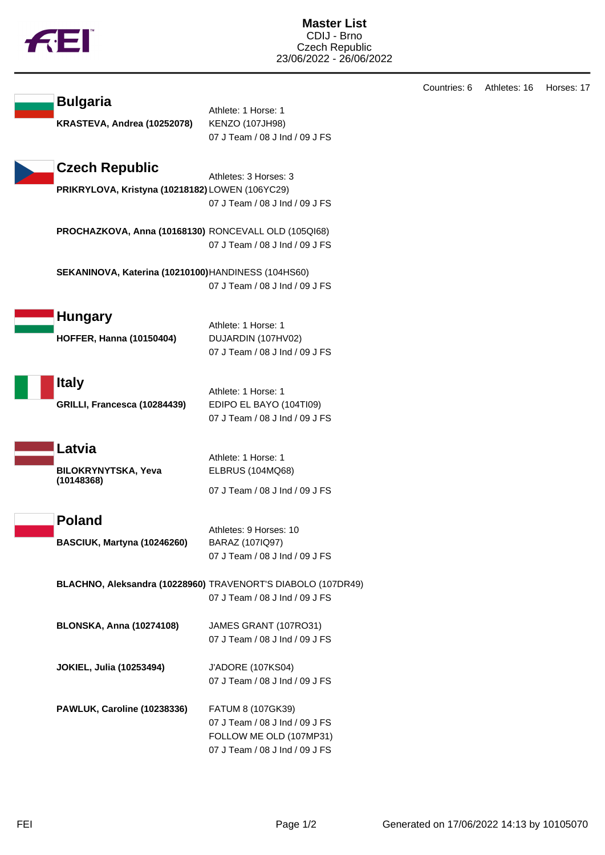

|                                                     |                                                              | Countries: 6 | Athletes: 16 | Horses: 17 |
|-----------------------------------------------------|--------------------------------------------------------------|--------------|--------------|------------|
| <b>Bulgaria</b>                                     | Athlete: 1 Horse: 1                                          |              |              |            |
| KRASTEVA, Andrea (10252078)                         | <b>KENZO (107JH98)</b>                                       |              |              |            |
|                                                     | 07 J Team / 08 J Ind / 09 J FS                               |              |              |            |
| <b>Czech Republic</b>                               |                                                              |              |              |            |
| PRIKRYLOVA, Kristyna (10218182) LOWEN (106YC29)     | Athletes: 3 Horses: 3                                        |              |              |            |
|                                                     | 07 J Team / 08 J Ind / 09 J FS                               |              |              |            |
|                                                     | PROCHAZKOVA, Anna (10168130) RONCEVALL OLD (105QI68)         |              |              |            |
|                                                     | 07 J Team / 08 J Ind / 09 J FS                               |              |              |            |
| SEKANINOVA, Katerina (10210100) HANDINESS (104HS60) |                                                              |              |              |            |
|                                                     | 07 J Team / 08 J Ind / 09 J FS                               |              |              |            |
| <b>Hungary</b>                                      |                                                              |              |              |            |
|                                                     | Athlete: 1 Horse: 1                                          |              |              |            |
| <b>HOFFER, Hanna (10150404)</b>                     | DUJARDIN (107HV02)<br>07 J Team / 08 J Ind / 09 J FS         |              |              |            |
|                                                     |                                                              |              |              |            |
| <b>Italy</b>                                        | Athlete: 1 Horse: 1                                          |              |              |            |
| GRILLI, Francesca (10284439)                        | EDIPO EL BAYO (104TI09)                                      |              |              |            |
|                                                     | 07 J Team / 08 J Ind / 09 J FS                               |              |              |            |
| Latvia                                              |                                                              |              |              |            |
|                                                     | Athlete: 1 Horse: 1                                          |              |              |            |
| BILOKRYNYTSKA, Yeva<br>(10148368)                   | <b>ELBRUS (104MQ68)</b>                                      |              |              |            |
|                                                     | 07 J Team / 08 J Ind / 09 J FS                               |              |              |            |
| <b>Poland</b>                                       |                                                              |              |              |            |
| BASCIUK, Martyna (10246260)                         | Athletes: 9 Horses: 10<br>BARAZ (107IQ97)                    |              |              |            |
|                                                     | 07 J Team / 08 J Ind / 09 J FS                               |              |              |            |
|                                                     | BLACHNO, Aleksandra (10228960) TRAVENORT'S DIABOLO (107DR49) |              |              |            |
|                                                     | 07 J Team / 08 J Ind / 09 J FS                               |              |              |            |
|                                                     |                                                              |              |              |            |
| <b>BLONSKA, Anna (10274108)</b>                     | JAMES GRANT (107RO31)                                        |              |              |            |
|                                                     | 07 J Team / 08 J Ind / 09 J FS                               |              |              |            |
| <b>JOKIEL, Julia (10253494)</b>                     | J'ADORE (107KS04)                                            |              |              |            |
|                                                     | 07 J Team / 08 J Ind / 09 J FS                               |              |              |            |
| PAWLUK, Caroline (10238336)                         | FATUM 8 (107GK39)                                            |              |              |            |
|                                                     | 07 J Team / 08 J Ind / 09 J FS                               |              |              |            |
|                                                     | FOLLOW ME OLD (107MP31)                                      |              |              |            |
|                                                     | 07 J Team / 08 J Ind / 09 J FS                               |              |              |            |